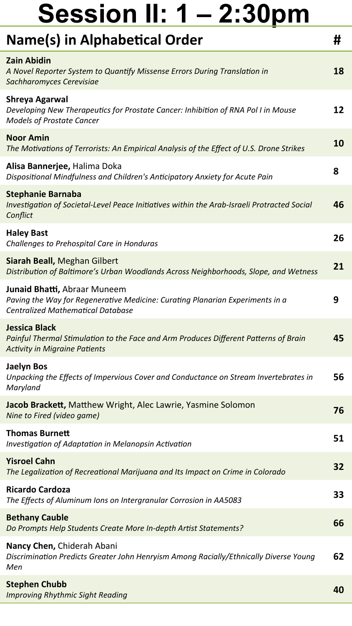| Name(s) in Alphabetical Order                                                                                                                             | Ħ  |
|-----------------------------------------------------------------------------------------------------------------------------------------------------------|----|
| <b>Zain Abidin</b><br>A Novel Reporter System to Quantify Missense Errors During Translation in<br>Sachharomyces Cerevisiae                               | 18 |
| Shreya Agarwal<br>Developing New Therapeutics for Prostate Cancer: Inhibition of RNA Pol I in Mouse<br><b>Models of Prostate Cancer</b>                   | 12 |
| <b>Noor Amin</b><br>The Motivations of Terrorists: An Empirical Analysis of the Effect of U.S. Drone Strikes                                              | 10 |
| Alisa Bannerjee, Halima Doka<br>Dispositional Mindfulness and Children's Anticipatory Anxiety for Acute Pain                                              | 8  |
| <b>Stephanie Barnaba</b><br>Investigation of Societal-Level Peace Initiatives within the Arab-Israeli Protracted Social<br>Conflict                       | 46 |
| <b>Haley Bast</b><br>Challenges to Prehospital Care in Honduras                                                                                           | 26 |
| Siarah Beall, Meghan Gilbert<br>Distribution of Baltimore's Urban Woodlands Across Neighborhoods, Slope, and Wetness                                      | 21 |
| Junaid Bhatti, Abraar Muneem<br>Paving the Way for Regenerative Medicine: Curating Planarian Experiments in a<br><b>Centralized Mathematical Database</b> | 9  |
| Jessica Black<br>Painful Thermal Stimulation to the Face and Arm Produces Different Patterns of Brain<br><b>Activity in Migraine Patients</b>             | 45 |
| <b>Jaelyn Bos</b><br>Unpacking the Effects of Impervious Cover and Conductance on Stream Invertebrates in<br>Maryland                                     | 56 |
| Jacob Brackett, Matthew Wright, Alec Lawrie, Yasmine Solomon<br>Nine to Fired (video game)                                                                | 76 |
| <b>Thomas Burnett</b><br>Investigation of Adaptation in Melanopsin Activation                                                                             | 51 |
| <b>Yisroel Cahn</b><br>The Legalization of Recreational Marijuana and Its Impact on Crime in Colorado                                                     | 32 |
| <b>Ricardo Cardoza</b><br>The Effects of Aluminum Ions on Intergranular Corrosion in AA5083                                                               | 33 |
| <b>Bethany Cauble</b><br>Do Prompts Help Students Create More In-depth Artist Statements?                                                                 | 66 |
| Nancy Chen, Chiderah Abani<br>Discrimination Predicts Greater John Henryism Among Racially/Ethnically Diverse Young<br>Men                                | 62 |
| <b>Stephen Chubb</b><br><b>Improving Rhythmic Sight Reading</b>                                                                                           | 40 |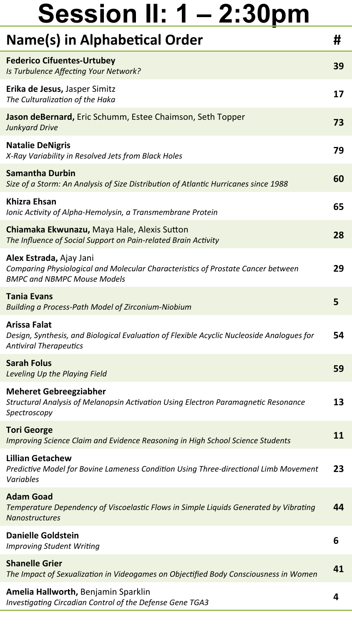| Name(s) in Alphabetical Order                                                                                                                     | Ħ  |
|---------------------------------------------------------------------------------------------------------------------------------------------------|----|
| <b>Federico Cifuentes-Urtubey</b><br>Is Turbulence Affecting Your Network?                                                                        | 39 |
| Erika de Jesus, Jasper Simitz<br>The Culturalization of the Haka                                                                                  | 17 |
| Jason deBernard, Eric Schumm, Estee Chaimson, Seth Topper<br><b>Junkyard Drive</b>                                                                | 73 |
| <b>Natalie DeNigris</b><br>X-Ray Variability in Resolved Jets from Black Holes                                                                    | 79 |
| <b>Samantha Durbin</b><br>Size of a Storm: An Analysis of Size Distribution of Atlantic Hurricanes since 1988                                     | 60 |
| <b>Khizra Ehsan</b><br>Ionic Activity of Alpha-Hemolysin, a Transmembrane Protein                                                                 | 65 |
| Chiamaka Ekwunazu, Maya Hale, Alexis Sutton<br>The Influence of Social Support on Pain-related Brain Activity                                     | 28 |
| Alex Estrada, Ajay Jani<br>Comparing Physiological and Molecular Characteristics of Prostate Cancer between<br><b>BMPC and NBMPC Mouse Models</b> | 29 |
| <b>Tania Evans</b><br>Building a Process-Path Model of Zirconium-Niobium                                                                          | 5  |
| <b>Arissa Falat</b><br>Design, Synthesis, and Biological Evaluation of Flexible Acyclic Nucleoside Analogues for<br><b>Antiviral Therapeutics</b> | 54 |
| Sarah Folus<br>Leveling Up the Playing Field                                                                                                      | 59 |
| <b>Meheret Gebreegziabher</b><br>Structural Analysis of Melanopsin Activation Using Electron Paramagnetic Resonance<br>Spectroscopy               | 13 |
| <b>Tori George</b><br>Improving Science Claim and Evidence Reasoning in High School Science Students                                              | 11 |
| <b>Lillian Getachew</b><br>Predictive Model for Bovine Lameness Condition Using Three-directional Limb Movement<br>Variables                      | 23 |
| <b>Adam Goad</b><br>Temperature Dependency of Viscoelastic Flows in Simple Liquids Generated by Vibrating<br><b>Nanostructures</b>                | 44 |
| <b>Danielle Goldstein</b><br><b>Improving Student Writing</b>                                                                                     | 6  |
| <b>Shanelle Grier</b><br>The Impact of Sexualization in Videogames on Objectified Body Consciousness in Women                                     | 41 |
| Amelia Hallworth, Benjamin Sparklin<br>Investigating Circadian Control of the Defense Gene TGA3                                                   | 4  |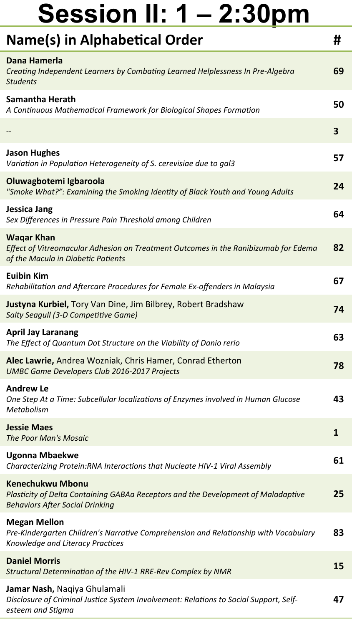| <b>Name(s) in Alphabetical Order</b>                                                                                                                   | #  |
|--------------------------------------------------------------------------------------------------------------------------------------------------------|----|
| Dana Hamerla<br>Creating Independent Learners by Combating Learned Helplessness In Pre-Algebra<br><b>Students</b>                                      | 69 |
| Samantha Herath<br>A Continuous Mathematical Framework for Biological Shapes Formation                                                                 | 50 |
|                                                                                                                                                        | 3  |
| <b>Jason Hughes</b><br>Variation in Population Heterogeneity of S. cerevisiae due to gal3                                                              | 57 |
| Oluwagbotemi Igbaroola<br>"Smoke What?": Examining the Smoking Identity of Black Youth and Young Adults                                                | 24 |
| <b>Jessica Jang</b><br>Sex Differences in Pressure Pain Threshold among Children                                                                       | 64 |
| <b>Wagar Khan</b><br>Effect of Vitreomacular Adhesion on Treatment Outcomes in the Ranibizumab for Edema<br>of the Macula in Diabetic Patients         | 82 |
| <b>Euibin Kim</b><br>Rehabilitation and Aftercare Procedures for Female Ex-offenders in Malaysia                                                       | 67 |
| Justyna Kurbiel, Tory Van Dine, Jim Bilbrey, Robert Bradshaw<br>Salty Seagull (3-D Competitive Game)                                                   | 74 |
| <b>April Jay Laranang</b><br>The Effect of Quantum Dot Structure on the Viability of Danio rerio                                                       | 63 |
| Alec Lawrie, Andrea Wozniak, Chris Hamer, Conrad Etherton<br><b>UMBC Game Developers Club 2016-2017 Projects</b>                                       | 78 |
| <b>Andrew Le</b><br>One Step At a Time: Subcellular localizations of Enzymes involved in Human Glucose<br>Metabolism                                   | 43 |
| <b>Jessie Maes</b><br><b>The Poor Man's Mosaic</b>                                                                                                     | 1  |
| <b>Ugonna Mbaekwe</b><br>Characterizing Protein:RNA Interactions that Nucleate HIV-1 Viral Assembly                                                    | 61 |
| <b>Kenechukwu Mbonu</b><br>Plasticity of Delta Containing GABAa Receptors and the Development of Maladaptive<br><b>Behaviors After Social Drinking</b> | 25 |
| <b>Megan Mellon</b><br>Pre-Kindergarten Children's Narrative Comprehension and Relationship with Vocabulary<br>Knowledge and Literacy Practices        | 83 |
| <b>Daniel Morris</b><br>Structural Determination of the HIV-1 RRE-Rev Complex by NMR                                                                   | 15 |
| Jamar Nash, Naqiya Ghulamali<br>Disclosure of Criminal Justice System Involvement: Relations to Social Support, Self-<br>esteem and Stigma             | 47 |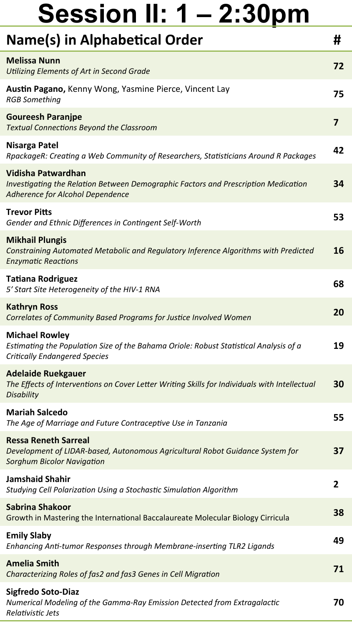| Name(s) in Alphabetical Order                                                                                                                          | #  |
|--------------------------------------------------------------------------------------------------------------------------------------------------------|----|
| <b>Melissa Nunn</b><br><b>Utilizing Elements of Art in Second Grade</b>                                                                                | 72 |
| Austin Pagano, Kenny Wong, Yasmine Pierce, Vincent Lay<br><b>RGB Something</b>                                                                         | 75 |
| <b>Goureesh Paranjpe</b><br><b>Textual Connections Beyond the Classroom</b>                                                                            | 7  |
| <b>Nisarga Patel</b><br>RpackageR: Creating a Web Community of Researchers, Statisticians Around R Packages                                            | 42 |
| Vidisha Patwardhan<br>Investigating the Relation Between Demographic Factors and Prescription Medication<br>Adherence for Alcohol Dependence           | 34 |
| <b>Trevor Pitts</b><br>Gender and Ethnic Differences in Contingent Self-Worth                                                                          | 53 |
| <b>Mikhail Plungis</b><br>Constraining Automated Metabolic and Regulatory Inference Algorithms with Predicted<br><b>Enzymatic Reactions</b>            | 16 |
| <b>Tatiana Rodriguez</b><br>5' Start Site Heterogeneity of the HIV-1 RNA                                                                               | 68 |
| <b>Kathryn Ross</b><br>Correlates of Community Based Programs for Justice Involved Women                                                               | 20 |
| <b>Michael Rowley</b><br>Estimating the Population Size of the Bahama Oriole: Robust Statistical Analysis of a<br><b>Critically Endangered Species</b> | 19 |
| <b>Adelaide Ruekgauer</b><br>The Effects of Interventions on Cover Letter Writing Skills for Individuals with Intellectual<br><b>Disability</b>        | 30 |
| <b>Mariah Salcedo</b><br>The Age of Marriage and Future Contraceptive Use in Tanzania                                                                  | 55 |
| <b>Ressa Reneth Sarreal</b><br>Development of LIDAR-based, Autonomous Agricultural Robot Guidance System for<br><b>Sorghum Bicolor Navigation</b>      | 37 |
| <b>Jamshaid Shahir</b><br>Studying Cell Polarization Using a Stochastic Simulation Algorithm                                                           | 2  |
| Sabrina Shakoor<br>Growth in Mastering the International Baccalaureate Molecular Biology Cirricula                                                     | 38 |
| <b>Emily Slaby</b><br>Enhancing Anti-tumor Responses through Membrane-inserting TLR2 Ligands                                                           | 49 |
| <b>Amelia Smith</b><br>Characterizing Roles of fas2 and fas3 Genes in Cell Migration                                                                   | 71 |
| <b>Sigfredo Soto-Diaz</b><br>Numerical Modeling of the Gamma-Ray Emission Detected from Extragalactic<br>Relativistic Jets                             | 70 |